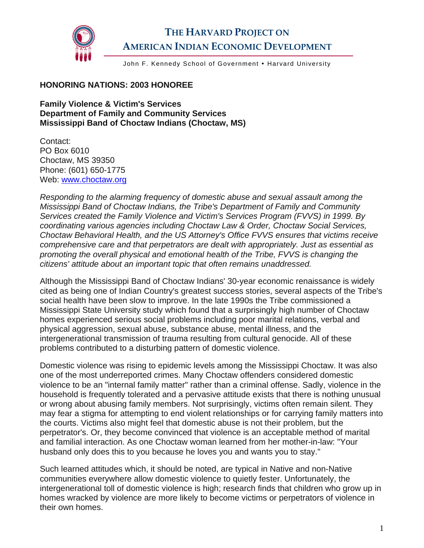

## **THE HARVARD PROJECT ON AMERICAN INDIAN ECONOMIC DEVELOPMENT**

John F. Kennedy School of Government . Harvard University

## **HONORING NATIONS: 2003 HONOREE**

**Family Violence & Victim's Services Department of Family and Community Services Mississippi Band of Choctaw Indians (Choctaw, MS)** 

Contact: PO Box 6010 Choctaw, MS 39350 Phone: (601) 650-1775 Web: [www.choctaw.org](http://www.choctaw.org/) 

*Responding to the alarming frequency of domestic abuse and sexual assault among the Mississippi Band of Choctaw Indians, the Tribe's Department of Family and Community Services created the Family Violence and Victim's Services Program (FVVS) in 1999. By coordinating various agencies including Choctaw Law & Order, Choctaw Social Services, Choctaw Behavioral Health, and the US Attorney's Office FVVS ensures that victims receive comprehensive care and that perpetrators are dealt with appropriately. Just as essential as promoting the overall physical and emotional health of the Tribe, FVVS is changing the citizens' attitude about an important topic that often remains unaddressed.* 

Although the Mississippi Band of Choctaw Indians' 30-year economic renaissance is widely cited as being one of Indian Country's greatest success stories, several aspects of the Tribe's social health have been slow to improve. In the late 1990s the Tribe commissioned a Mississippi State University study which found that a surprisingly high number of Choctaw homes experienced serious social problems including poor marital relations, verbal and physical aggression, sexual abuse, substance abuse, mental illness, and the intergenerational transmission of trauma resulting from cultural genocide. All of these problems contributed to a disturbing pattern of domestic violence.

Domestic violence was rising to epidemic levels among the Mississippi Choctaw. It was also one of the most underreported crimes. Many Choctaw offenders considered domestic violence to be an "internal family matter" rather than a criminal offense. Sadly, violence in the household is frequently tolerated and a pervasive attitude exists that there is nothing unusual or wrong about abusing family members. Not surprisingly, victims often remain silent. They may fear a stigma for attempting to end violent relationships or for carrying family matters into the courts. Victims also might feel that domestic abuse is not their problem, but the perpetrator's. Or, they become convinced that violence is an acceptable method of marital and familial interaction. As one Choctaw woman learned from her mother-in-law: "Your husband only does this to you because he loves you and wants you to stay."

Such learned attitudes which, it should be noted, are typical in Native and non-Native communities everywhere allow domestic violence to quietly fester. Unfortunately, the intergenerational toll of domestic violence is high; research finds that children who grow up in homes wracked by violence are more likely to become victims or perpetrators of violence in their own homes.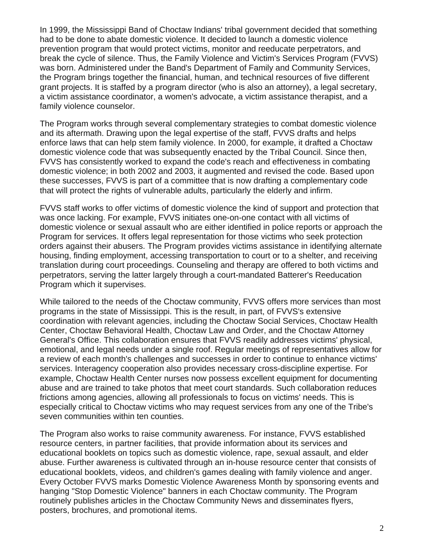In 1999, the Mississippi Band of Choctaw Indians' tribal government decided that something had to be done to abate domestic violence. It decided to launch a domestic violence prevention program that would protect victims, monitor and reeducate perpetrators, and break the cycle of silence. Thus, the Family Violence and Victim's Services Program (FVVS) was born. Administered under the Band's Department of Family and Community Services, the Program brings together the financial, human, and technical resources of five different grant projects. It is staffed by a program director (who is also an attorney), a legal secretary, a victim assistance coordinator, a women's advocate, a victim assistance therapist, and a family violence counselor.

The Program works through several complementary strategies to combat domestic violence and its aftermath. Drawing upon the legal expertise of the staff, FVVS drafts and helps enforce laws that can help stem family violence. In 2000, for example, it drafted a Choctaw domestic violence code that was subsequently enacted by the Tribal Council. Since then, FVVS has consistently worked to expand the code's reach and effectiveness in combating domestic violence; in both 2002 and 2003, it augmented and revised the code. Based upon these successes, FVVS is part of a committee that is now drafting a complementary code that will protect the rights of vulnerable adults, particularly the elderly and infirm.

FVVS staff works to offer victims of domestic violence the kind of support and protection that was once lacking. For example, FVVS initiates one-on-one contact with all victims of domestic violence or sexual assault who are either identified in police reports or approach the Program for services. It offers legal representation for those victims who seek protection orders against their abusers. The Program provides victims assistance in identifying alternate housing, finding employment, accessing transportation to court or to a shelter, and receiving translation during court proceedings. Counseling and therapy are offered to both victims and perpetrators, serving the latter largely through a court-mandated Batterer's Reeducation Program which it supervises.

While tailored to the needs of the Choctaw community, FVVS offers more services than most programs in the state of Mississippi. This is the result, in part, of FVVS's extensive coordination with relevant agencies, including the Choctaw Social Services, Choctaw Health Center, Choctaw Behavioral Health, Choctaw Law and Order, and the Choctaw Attorney General's Office. This collaboration ensures that FVVS readily addresses victims' physical, emotional, and legal needs under a single roof. Regular meetings of representatives allow for a review of each month's challenges and successes in order to continue to enhance victims' services. Interagency cooperation also provides necessary cross-discipline expertise. For example, Choctaw Health Center nurses now possess excellent equipment for documenting abuse and are trained to take photos that meet court standards. Such collaboration reduces frictions among agencies, allowing all professionals to focus on victims' needs. This is especially critical to Choctaw victims who may request services from any one of the Tribe's seven communities within ten counties.

The Program also works to raise community awareness. For instance, FVVS established resource centers, in partner facilities, that provide information about its services and educational booklets on topics such as domestic violence, rape, sexual assault, and elder abuse. Further awareness is cultivated through an in-house resource center that consists of educational booklets, videos, and children's games dealing with family violence and anger. Every October FVVS marks Domestic Violence Awareness Month by sponsoring events and hanging "Stop Domestic Violence" banners in each Choctaw community. The Program routinely publishes articles in the Choctaw Community News and disseminates flyers, posters, brochures, and promotional items.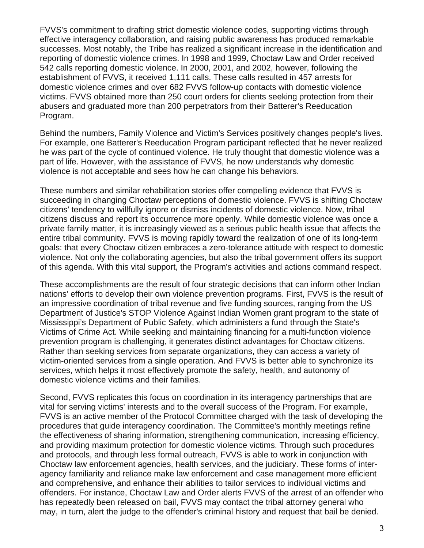FVVS's commitment to drafting strict domestic violence codes, supporting victims through effective interagency collaboration, and raising public awareness has produced remarkable successes. Most notably, the Tribe has realized a significant increase in the identification and reporting of domestic violence crimes. In 1998 and 1999, Choctaw Law and Order received 542 calls reporting domestic violence. In 2000, 2001, and 2002, however, following the establishment of FVVS, it received 1,111 calls. These calls resulted in 457 arrests for domestic violence crimes and over 682 FVVS follow-up contacts with domestic violence victims. FVVS obtained more than 250 court orders for clients seeking protection from their abusers and graduated more than 200 perpetrators from their Batterer's Reeducation Program.

Behind the numbers, Family Violence and Victim's Services positively changes people's lives. For example, one Batterer's Reeducation Program participant reflected that he never realized he was part of the cycle of continued violence. He truly thought that domestic violence was a part of life. However, with the assistance of FVVS, he now understands why domestic violence is not acceptable and sees how he can change his behaviors.

These numbers and similar rehabilitation stories offer compelling evidence that FVVS is succeeding in changing Choctaw perceptions of domestic violence. FVVS is shifting Choctaw citizens' tendency to willfully ignore or dismiss incidents of domestic violence. Now, tribal citizens discuss and report its occurrence more openly. While domestic violence was once a private family matter, it is increasingly viewed as a serious public health issue that affects the entire tribal community. FVVS is moving rapidly toward the realization of one of its long-term goals: that every Choctaw citizen embraces a zero-tolerance attitude with respect to domestic violence. Not only the collaborating agencies, but also the tribal government offers its support of this agenda. With this vital support, the Program's activities and actions command respect.

These accomplishments are the result of four strategic decisions that can inform other Indian nations' efforts to develop their own violence prevention programs. First, FVVS is the result of an impressive coordination of tribal revenue and five funding sources, ranging from the US Department of Justice's STOP Violence Against Indian Women grant program to the state of Mississippi's Department of Public Safety, which administers a fund through the State's Victims of Crime Act. While seeking and maintaining financing for a multi-function violence prevention program is challenging, it generates distinct advantages for Choctaw citizens. Rather than seeking services from separate organizations, they can access a variety of victim-oriented services from a single operation. And FVVS is better able to synchronize its services, which helps it most effectively promote the safety, health, and autonomy of domestic violence victims and their families.

Second, FVVS replicates this focus on coordination in its interagency partnerships that are vital for serving victims' interests and to the overall success of the Program. For example, FVVS is an active member of the Protocol Committee charged with the task of developing the procedures that guide interagency coordination. The Committee's monthly meetings refine the effectiveness of sharing information, strengthening communication, increasing efficiency, and providing maximum protection for domestic violence victims. Through such procedures and protocols, and through less formal outreach, FVVS is able to work in conjunction with Choctaw law enforcement agencies, health services, and the judiciary. These forms of interagency familiarity and reliance make law enforcement and case management more efficient and comprehensive, and enhance their abilities to tailor services to individual victims and offenders. For instance, Choctaw Law and Order alerts FVVS of the arrest of an offender who has repeatedly been released on bail, FVVS may contact the tribal attorney general who may, in turn, alert the judge to the offender's criminal history and request that bail be denied.